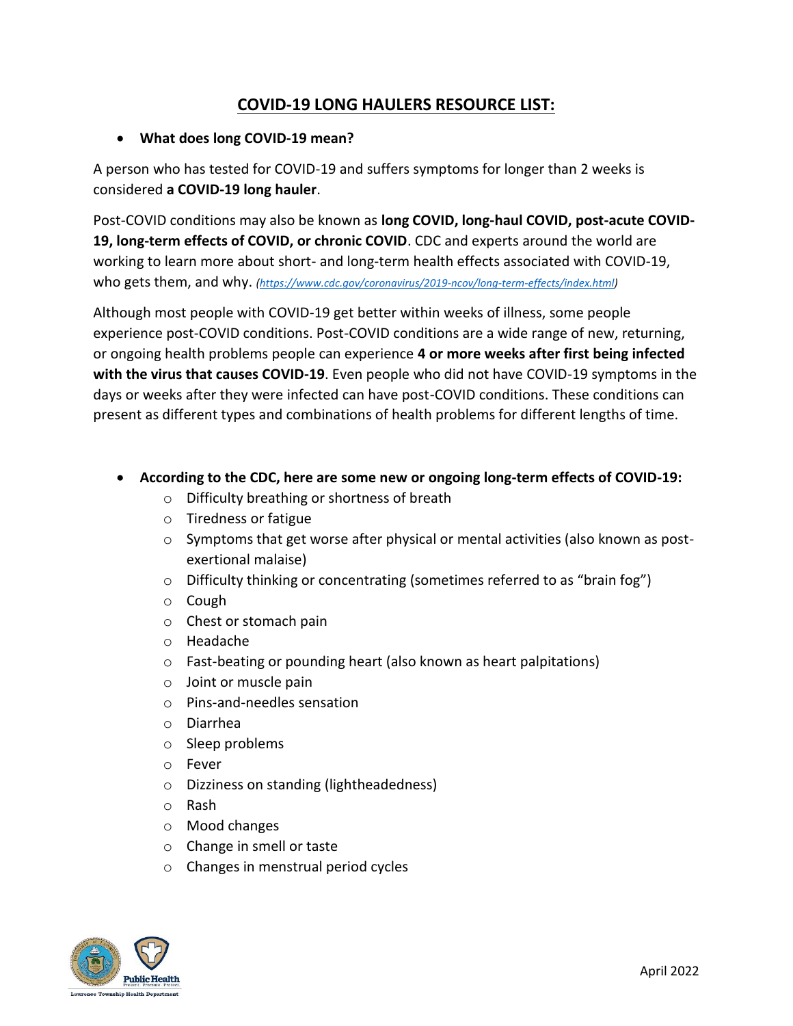# **COVID-19 LONG HAULERS RESOURCE LIST:**

## • **What does long COVID-19 mean?**

A person who has tested for COVID-19 and suffers symptoms for longer than 2 weeks is considered **a COVID-19 long hauler**.

Post-COVID conditions may also be known as **long COVID, long-haul COVID, post-acute COVID-19, long-term effects of COVID, or chronic COVID**. CDC and experts around the world are working to learn more about short- and long-term health effects associated with COVID-19, who gets them, and why. *[\(https://www.cdc.gov/coronavirus/2019-ncov/long-term-effects/index.html\)](https://www.cdc.gov/coronavirus/2019-ncov/long-term-effects/index.html)*

Although most people with COVID-19 get better within weeks of illness, some people experience post-COVID conditions. Post-COVID conditions are a wide range of new, returning, or ongoing health problems people can experience **4 or more weeks after first being infected with the virus that causes COVID-19**. Even people who did not have COVID-19 symptoms in the days or weeks after they were infected can have post-COVID conditions. These conditions can present as different types and combinations of health problems for different lengths of time.

## • **According to the CDC, here are some new or ongoing long-term effects of COVID-19:**

- o Difficulty breathing or shortness of breath
- o Tiredness or fatigue
- $\circ$  Symptoms that get worse after physical or mental activities (also known as postexertional malaise)
- $\circ$  Difficulty thinking or concentrating (sometimes referred to as "brain fog")
- o Cough
- o Chest or stomach pain
- o Headache
- o Fast-beating or pounding heart (also known as heart palpitations)
- o Joint or muscle pain
- o Pins-and-needles sensation
- o Diarrhea
- o Sleep problems
- o Fever
- o Dizziness on standing (lightheadedness)
- o Rash
- o Mood changes
- o Change in smell or taste
- o Changes in menstrual period cycles

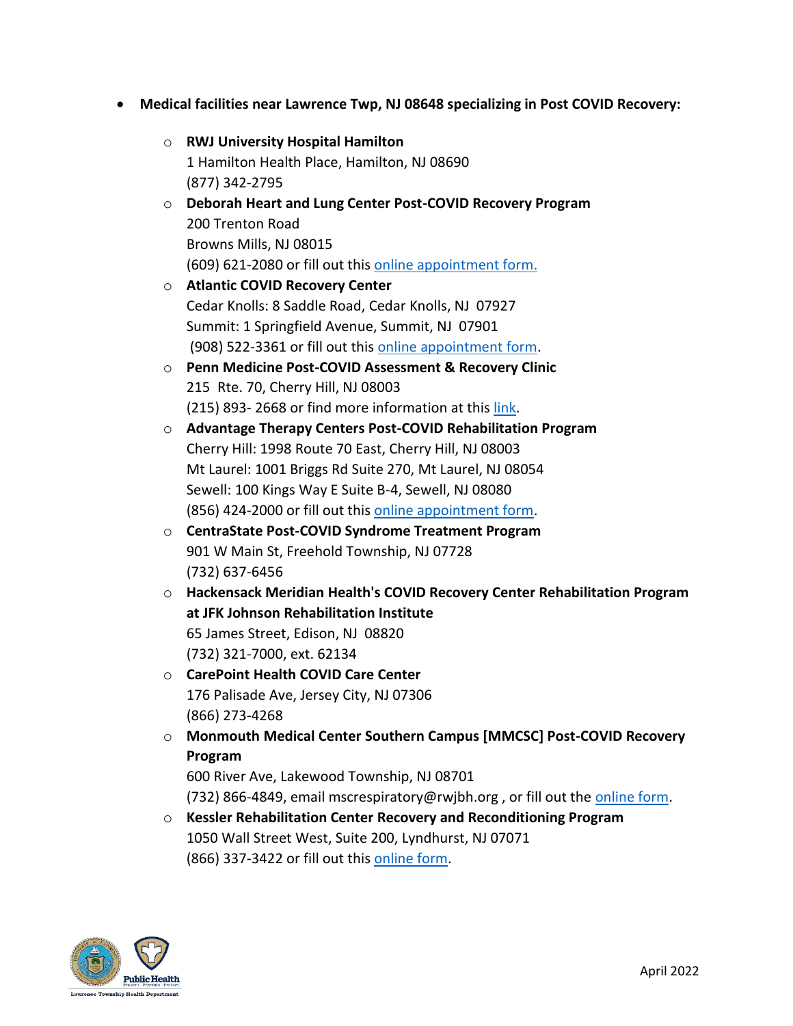- **Medical facilities near Lawrence Twp, NJ 08648 specializing in Post COVID Recovery:**
	- o **RWJ University Hospital Hamilton** 1 Hamilton Health Place, Hamilton, NJ 08690 (877) 342-2795
	- o **Deborah Heart and Lung Center Post-COVID Recovery Program** 200 Trenton Road Browns Mills, NJ 08015 (609) 621-2080 or fill out this [online appointment form.](https://demanddeborah.org/services/pulmonary-services/post-covid-recovery-program/)
	- o **Atlantic COVID Recovery Center**  Cedar Knolls: 8 Saddle Road, Cedar Knolls, NJ 07927 Summit: 1 Springfield Avenue, Summit, NJ 07901 (908) 522-3361 or fill out this [online appointment form.](https://www.atlantichealth.org/locations/atlantic-medical-group/pulmonary-allergy-associates/covid-recovery.html)
	- o **Penn Medicine Post-COVID Assessment & Recovery Clinic**  215 Rte. 70, Cherry Hill, NJ 08003 (215) 893- 2668 or find more information at this [link.](https://www.pennmedicine.org/for-health-care-professionals/for-physicians/covid-information/post-covid19-assessment-and-recovery-clinic-at-penn)
	- o **Advantage Therapy Centers Post-COVID Rehabilitation Program** Cherry Hill: 1998 Route 70 East, Cherry Hill, NJ 08003 Mt Laurel: 1001 Briggs Rd Suite 270, Mt Laurel, NJ 08054 Sewell: 100 Kings Way E Suite B-4, Sewell, NJ 08080 (856) 424-2000 or fill out this [online appointment form.](https://adtherapy.com/post-covid-19-rehabilitation/)
	- o **CentraState Post-COVID Syndrome Treatment Program** 901 W Main St, Freehold Township, NJ 07728 (732) 637-6456
	- o **Hackensack Meridian Health's COVID Recovery Center Rehabilitation Program at JFK Johnson Rehabilitation Institute** 65 James Street, Edison, NJ 08820 (732) 321-7000, ext. 62134
	- o **CarePoint Health COVID Care Center**  176 Palisade Ave, Jersey City, NJ 07306 (866) 273-4268
	- o **Monmouth Medical Center Southern Campus [MMCSC] Post-COVID Recovery Program**

600 River Ave, Lakewood Township, NJ 08701

(732) 866-4849, email mscrespiratory@rwjbh.org, or fill out the [online form.](https://www.rwjbh.org/monmouth-medical-center-southern-campus/treatment-care/covid-recovery/request-an-appointment/)

o **Kessler Rehabilitation Center Recovery and Reconditioning Program** 1050 Wall Street West, Suite 200, Lyndhurst, NJ 07071 (866) 337-3422 or fill out this [online form.](https://www.kesslerrehabilitationcenter.com/contact/request-an-appointment/)

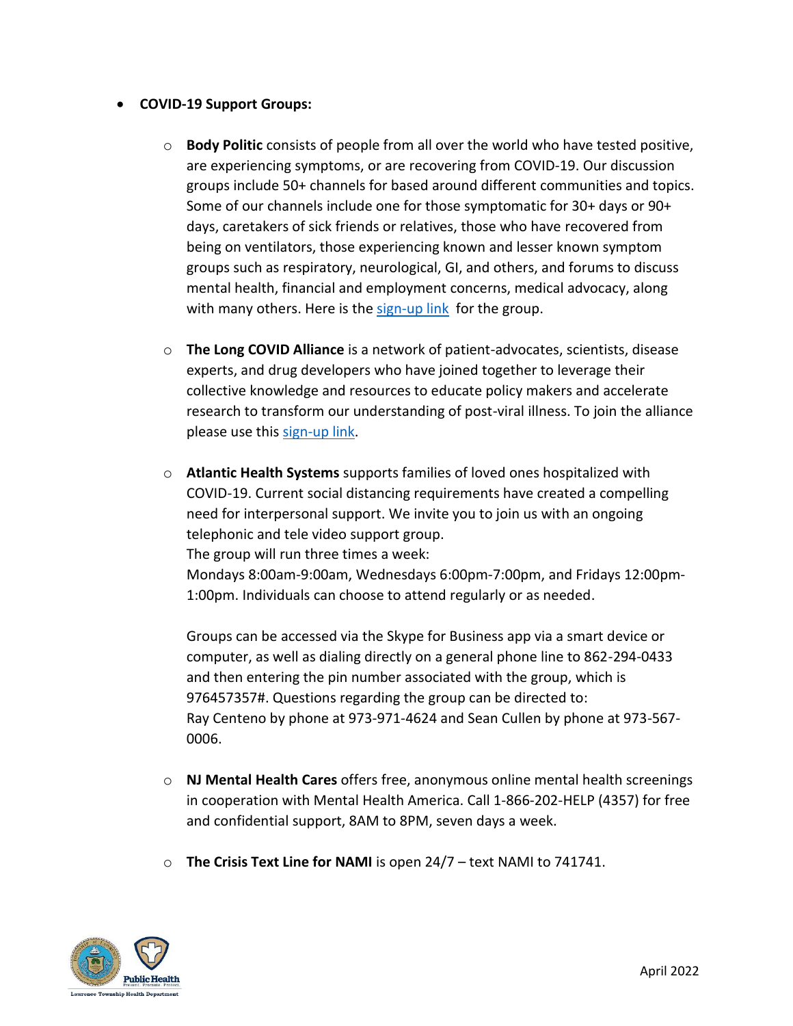## • **COVID-19 Support Groups:**

- o **Body Politic** consists of people from all over the world who have tested positive, are experiencing symptoms, or are recovering from COVID-19. Our discussion groups include 50+ channels for based around different communities and topics. Some of our channels include one for those symptomatic for 30+ days or 90+ days, caretakers of sick friends or relatives, those who have recovered from being on ventilators, those experiencing known and lesser known symptom groups such as respiratory, neurological, GI, and others, and forums to discuss mental health, financial and employment concerns, medical advocacy, along with many others. Here is the [sign-up link](https://docs.google.com/forms/d/e/1FAIpQLScM2EeJhgisTUdo5Op6euyx1PYu8O-aNeDVYhXuPFa_Gs9PnQ/viewform) for the group.
- o **The Long COVID Alliance** is a network of patient-advocates, scientists, disease experts, and drug developers who have joined together to leverage their collective knowledge and resources to educate policy makers and accelerate research to transform our understanding of post-viral illness. To join the alliance please use this [sign-up link.](https://longcovidalliance.org/contact/)
- o **Atlantic Health Systems** supports families of loved ones hospitalized with COVID-19. Current social distancing requirements have created a compelling need for interpersonal support. We invite you to join us with an ongoing telephonic and tele video support group. The group will run three times a week: Mondays 8:00am-9:00am, Wednesdays 6:00pm-7:00pm, and Fridays 12:00pm-1:00pm. Individuals can choose to attend regularly or as needed.

Groups can be accessed via the Skype for Business app via a smart device or computer, as well as dialing directly on a general phone line to 862-294-0433 and then entering the pin number associated with the group, which is 976457357#. Questions regarding the group can be directed to: Ray Centeno by phone at 973-971-4624 and Sean Cullen by phone at 973-567- 0006.

- o **NJ Mental Health Cares** offers free, anonymous online mental health screenings in cooperation with Mental Health America. Call 1-866-202-HELP (4357) for free and confidential support, 8AM to 8PM, seven days a week.
- o **The Crisis Text Line for NAMI** is open 24/7 text NAMI to 741741.